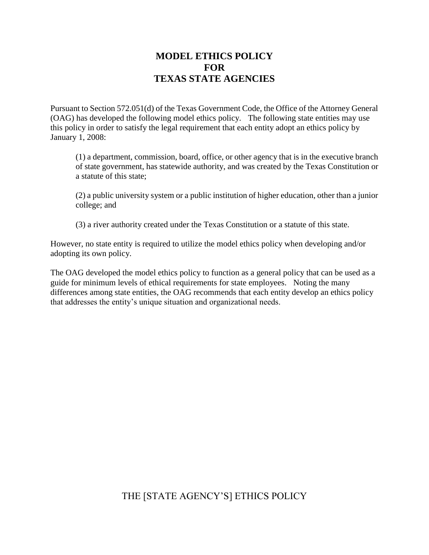## **MODEL ETHICS POLICY FOR TEXAS STATE AGENCIES**

Pursuant to Section 572.051(d) of the Texas Government Code, the Office of the Attorney General (OAG) has developed the following model ethics policy. The following state entities may use this policy in order to satisfy the legal requirement that each entity adopt an ethics policy by January 1, 2008:

(1) a department, commission, board, office, or other agency that is in the executive branch of state government, has statewide authority, and was created by the Texas Constitution or a statute of this state;

(2) a public university system or a public institution of higher education, other than a junior college; and

(3) a river authority created under the Texas Constitution or a statute of this state.

However, no state entity is required to utilize the model ethics policy when developing and/or adopting its own policy.

The OAG developed the model ethics policy to function as a general policy that can be used as a guide for minimum levels of ethical requirements for state employees. Noting the many differences among state entities, the OAG recommends that each entity develop an ethics policy that addresses the entity's unique situation and organizational needs.

# THE [STATE AGENCY'S] ETHICS POLICY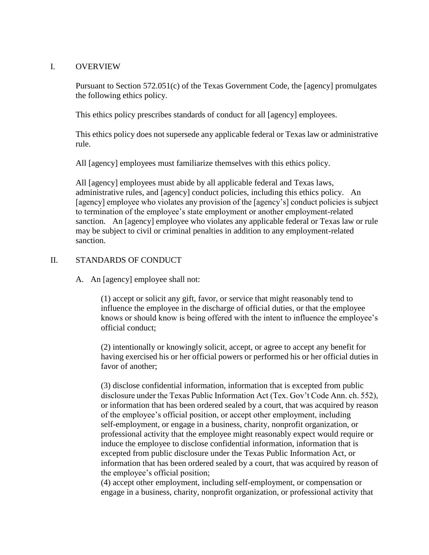#### I. OVERVIEW

Pursuant to Section 572.051(c) of the Texas Government Code, the [agency] promulgates the following ethics policy.

This ethics policy prescribes standards of conduct for all [agency] employees.

This ethics policy does not supersede any applicable federal or Texas law or administrative rule.

All [agency] employees must familiarize themselves with this ethics policy.

All [agency] employees must abide by all applicable federal and Texas laws, administrative rules, and [agency] conduct policies, including this ethics policy. An [agency] employee who violates any provision of the [agency's] conduct policies is subject to termination of the employee's state employment or another employment-related sanction. An [agency] employee who violates any applicable federal or Texas law or rule may be subject to civil or criminal penalties in addition to any employment-related sanction.

#### II. STANDARDS OF CONDUCT

A. An [agency] employee shall not:

(1) accept or solicit any gift, favor, or service that might reasonably tend to influence the employee in the discharge of official duties, or that the employee knows or should know is being offered with the intent to influence the employee's official conduct;

(2) intentionally or knowingly solicit, accept, or agree to accept any benefit for having exercised his or her official powers or performed his or her official duties in favor of another;

(3) disclose confidential information, information that is excepted from public disclosure under the Texas Public Information Act (Tex. Gov't Code Ann. ch. 552), or information that has been ordered sealed by a court, that was acquired by reason of the employee's official position, or accept other employment, including self-employment, or engage in a business, charity, nonprofit organization, or professional activity that the employee might reasonably expect would require or induce the employee to disclose confidential information, information that is excepted from public disclosure under the Texas Public Information Act, or information that has been ordered sealed by a court, that was acquired by reason of the employee's official position;

(4) accept other employment, including self-employment, or compensation or engage in a business, charity, nonprofit organization, or professional activity that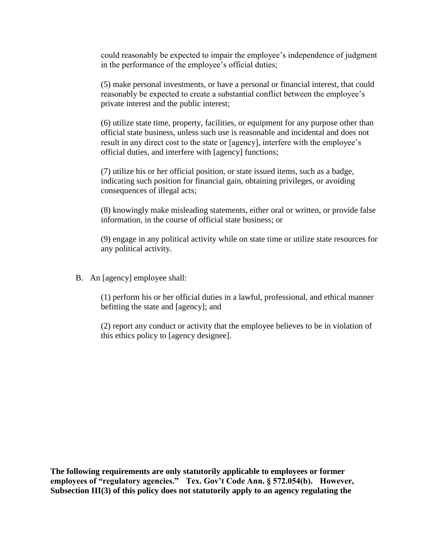could reasonably be expected to impair the employee's independence of judgment in the performance of the employee's official duties;

(5) make personal investments, or have a personal or financial interest, that could reasonably be expected to create a substantial conflict between the employee's private interest and the public interest;

(6) utilize state time, property, facilities, or equipment for any purpose other than official state business, unless such use is reasonable and incidental and does not result in any direct cost to the state or [agency], interfere with the employee's official duties, and interfere with [agency] functions;

(7) utilize his or her official position, or state issued items, such as a badge, indicating such position for financial gain, obtaining privileges, or avoiding consequences of illegal acts;

(8) knowingly make misleading statements, either oral or written, or provide false information, in the course of official state business; or

(9) engage in any political activity while on state time or utilize state resources for any political activity.

B. An [agency] employee shall:

(1) perform his or her official duties in a lawful, professional, and ethical manner befitting the state and [agency]; and

(2) report any conduct or activity that the employee believes to be in violation of this ethics policy to [agency designee].

**The following requirements are only statutorily applicable to employees or former employees of "regulatory agencies." Tex. Gov't Code Ann. § 572.054(b). However, Subsection III(3) of this policy does not statutorily apply to an agency regulating the**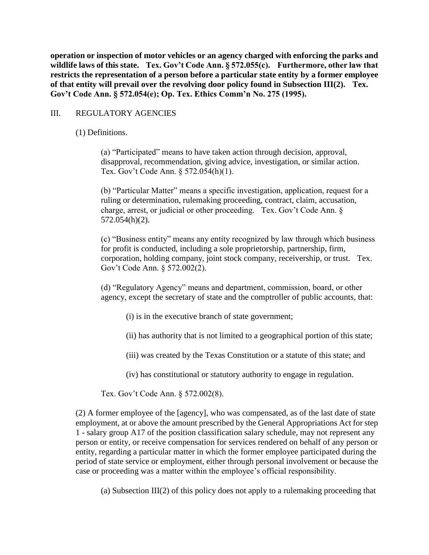**operation or inspection of motor vehicles or an agency charged with enforcing the parks and wildlife laws of this state. Tex. Gov't Code Ann. § 572.055(c). Furthermore, other law that restricts the representation of a person before a particular state entity by a former employee of that entity will prevail over the revolving door policy found in Subsection III(2). Tex. Gov't Code Ann. § 572.054(e); Op. Tex. Ethics Comm'n No. 275 (1995).** 

#### III. REGULATORY AGENCIES

### (1) Definitions.

(a) "Participated" means to have taken action through decision, approval, disapproval, recommendation, giving advice, investigation, or similar action. Tex. Gov't Code Ann. § 572.054(h)(1).

(b) "Particular Matter" means a specific investigation, application, request for a ruling or determination, rulemaking proceeding, contract, claim, accusation, charge, arrest, or judicial or other proceeding. Tex. Gov't Code Ann. § 572.054(h)(2).

(c) "Business entity" means any entity recognized by law through which business for profit is conducted, including a sole proprietorship, partnership, firm, corporation, holding company, joint stock company, receivership, or trust. Tex. Gov't Code Ann. § 572.002(2).

(d) "Regulatory Agency" means and department, commission, board, or other agency, except the secretary of state and the comptroller of public accounts, that:

- (i) is in the executive branch of state government;
- (ii) has authority that is not limited to a geographical portion of this state;
- (iii) was created by the Texas Constitution or a statute of this state; and
- (iv) has constitutional or statutory authority to engage in regulation.

Tex. Gov't Code Ann. § 572.002(8).

(2) A former employee of the [agency], who was compensated, as of the last date of state employment, at or above the amount prescribed by the General Appropriations Act for step 1 - salary group A17 of the position classification salary schedule, may not represent any person or entity, or receive compensation for services rendered on behalf of any person or entity, regarding a particular matter in which the former employee participated during the period of state service or employment, either through personal involvement or because the case or proceeding was a matter within the employee's official responsibility.

(a) Subsection III(2) of this policy does not apply to a rulemaking proceeding that